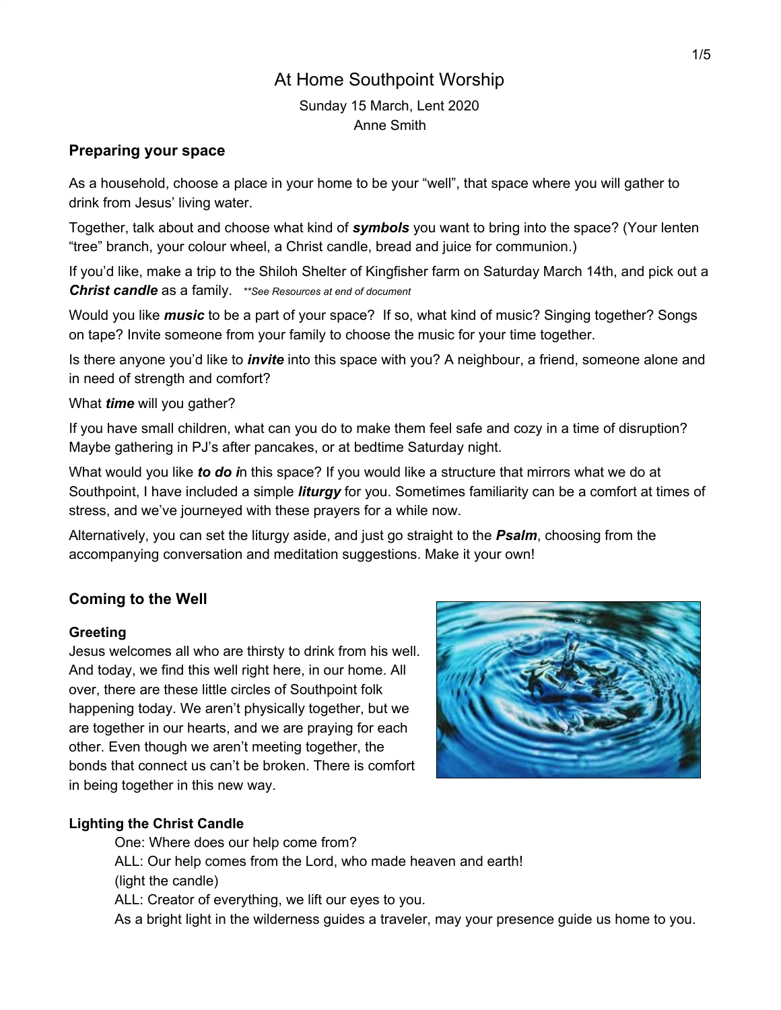# At Home Southpoint Worship

Sunday 15 March, Lent 2020 Anne Smith

# **Preparing your space**

As a household, choose a place in your home to be your "well", that space where you will gather to drink from Jesus' living water.

Together, talk about and choose what kind of *symbols* you want to bring into the space? (Your lenten "tree" branch, your colour wheel, a Christ candle, bread and juice for communion.)

If you'd like, make a trip to the Shiloh Shelter of Kingfisher farm on Saturday March 14th, and pick out a *Christ candle* as a family. *\*\*See Resources at end of document*

Would you like *music* to be a part of your space? If so, what kind of music? Singing together? Songs on tape? Invite someone from your family to choose the music for your time together.

Is there anyone you'd like to *invite* into this space with you? A neighbour, a friend, someone alone and in need of strength and comfort?

What *time* will you gather?

If you have small children, what can you do to make them feel safe and cozy in a time of disruption? Maybe gathering in PJ's after pancakes, or at bedtime Saturday night.

What would you like *to do i*n this space? If you would like a structure that mirrors what we do at Southpoint, I have included a simple *liturgy* for you. Sometimes familiarity can be a comfort at times of stress, and we've journeyed with these prayers for a while now.

Alternatively, you can set the liturgy aside, and just go straight to the *Psalm*, choosing from the accompanying conversation and meditation suggestions. Make it your own!

# **Coming to the Well**

# **Greeting**

Jesus welcomes all who are thirsty to drink from his well. And today, we find this well right here, in our home. All over, there are these little circles of Southpoint folk happening today. We aren't physically together, but we are together in our hearts, and we are praying for each other. Even though we aren't meeting together, the bonds that connect us can't be broken. There is comfort in being together in this new way.



# **Lighting the Christ Candle**

One: Where does our help come from? ALL: Our help comes from the Lord, who made heaven and earth! (light the candle) ALL: Creator of everything, we lift our eyes to you. As a bright light in the wilderness guides a traveler, may your presence guide us home to you.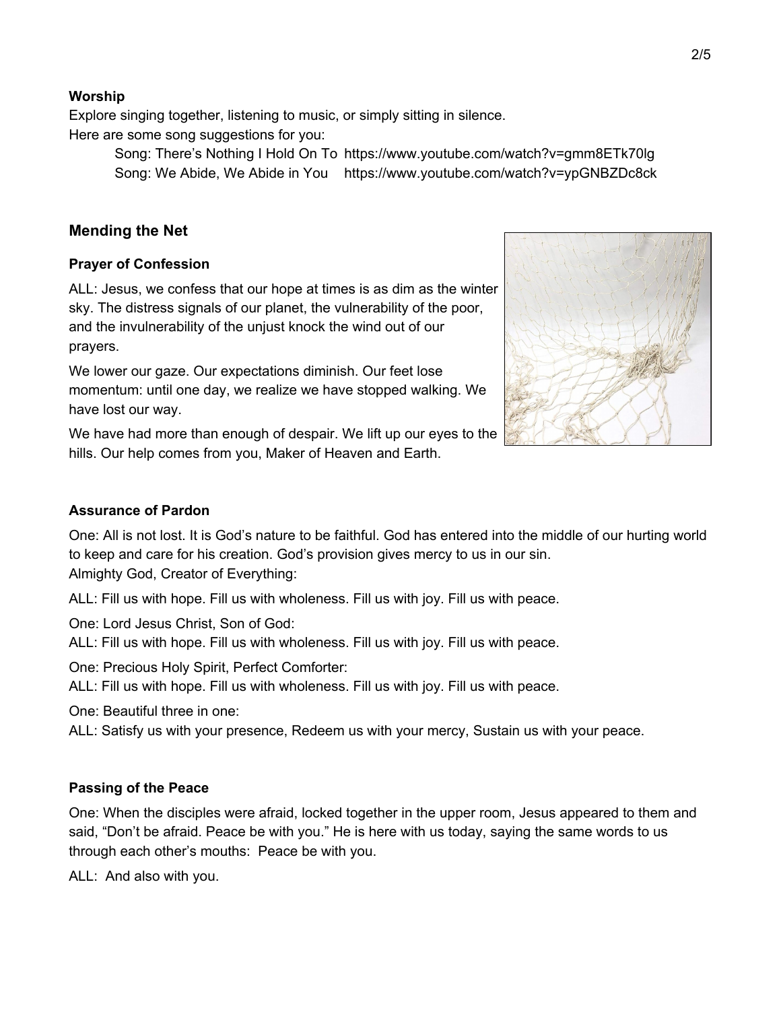# 2/5

#### **Worship**

Explore singing together, listening to music, or simply sitting in silence. Here are some song suggestions for you:

> Song: There's Nothing I Hold On To https://www.youtube.com/watch?v=gmm8ETk70lg Song: We Abide, We Abide in You https://www.youtube.com/watch?v=ypGNBZDc8ck

# **Mending the Net**

### **Prayer of Confession**

ALL: Jesus, we confess that our hope at times is as dim as the winter sky. The distress signals of our planet, the vulnerability of the poor, and the invulnerability of the unjust knock the wind out of our prayers.

We lower our gaze. Our expectations diminish. Our feet lose momentum: until one day, we realize we have stopped walking. We have lost our way.

We have had more than enough of despair. We lift up our eyes to the hills. Our help comes from you, Maker of Heaven and Earth.

#### **Assurance of Pardon**

One: All is not lost. It is God's nature to be faithful. God has entered into the middle of our hurting world to keep and care for his creation. God's provision gives mercy to us in our sin. Almighty God, Creator of Everything:

ALL: Fill us with hope. Fill us with wholeness. Fill us with joy. Fill us with peace.

One: Lord Jesus Christ, Son of God:

ALL: Fill us with hope. Fill us with wholeness. Fill us with joy. Fill us with peace.

One: Precious Holy Spirit, Perfect Comforter:

ALL: Fill us with hope. Fill us with wholeness. Fill us with joy. Fill us with peace.

One: Beautiful three in one:

ALL: Satisfy us with your presence, Redeem us with your mercy, Sustain us with your peace.

#### **Passing of the Peace**

One: When the disciples were afraid, locked together in the upper room, Jesus appeared to them and said, "Don't be afraid. Peace be with you." He is here with us today, saying the same words to us through each other's mouths: Peace be with you.

ALL: And also with you.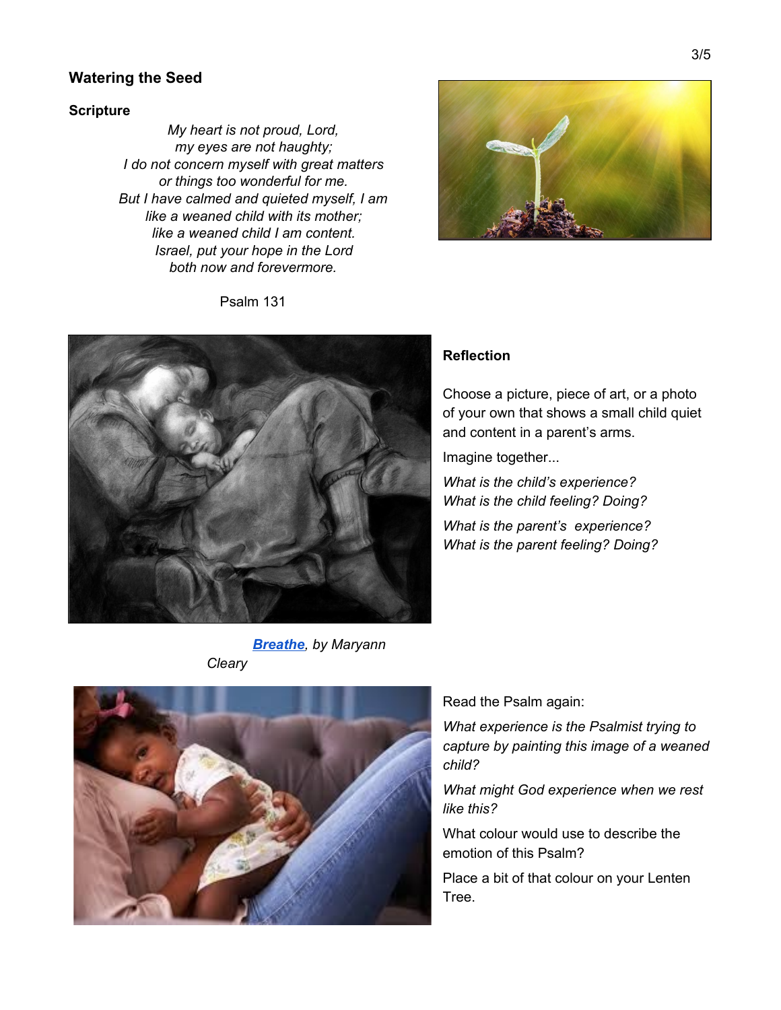## **Watering the Seed**

#### **Scripture**

*My heart is not proud, Lord, my eyes are not haughty; I do not concern myself with great matters or things too wonderful for me. But I have calmed and quieted myself, I am like a weaned child with its mother; like a weaned child I am content. Israel, put your hope in the Lord both now and forevermore.*







# **Reflection**

Choose a picture, piece of art, or a photo of your own that shows a small child quiet and content in a parent's arms.

Imagine together...

*What is the child's experience? What is the child feeling? Doing?*

*What is the parent's experience? What is the parent feeling? Doing?*

*[Breathe](https://fineartamerica.com/featured/breathe-maryann-cleary.html), by Maryann Cleary*



Read the Psalm again:

*What experience is the Psalmist trying to capture by painting this image of a weaned child?*

*What might God experience when we rest like this?*

What colour would use to describe the emotion of this Psalm?

Place a bit of that colour on your Lenten Tree.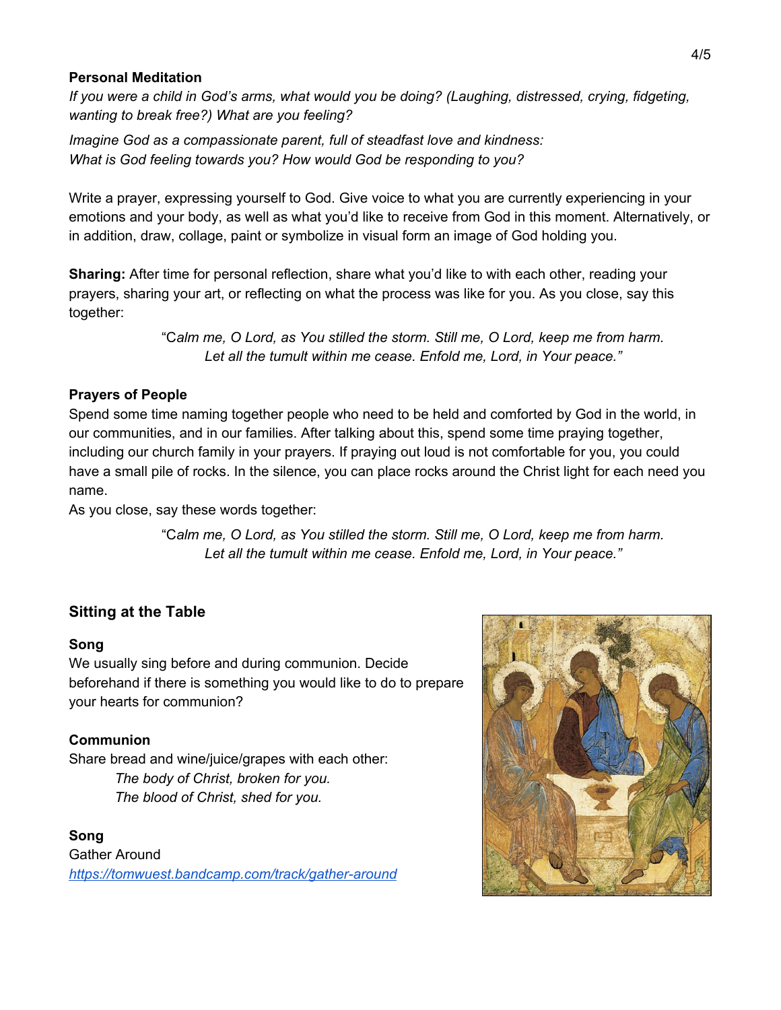# **Personal Meditation**

*If you were a child in God's arms, what would you be doing? (Laughing, distressed, crying, fidgeting, wanting to break free?) What are you feeling?*

*Imagine God as a compassionate parent, full of steadfast love and kindness: What is God feeling towards you? How would God be responding to you?*

Write a prayer, expressing yourself to God. Give voice to what you are currently experiencing in your emotions and your body, as well as what you'd like to receive from God in this moment. Alternatively, or in addition, draw, collage, paint or symbolize in visual form an image of God holding you.

**Sharing:** After time for personal reflection, share what you'd like to with each other, reading your prayers, sharing your art, or reflecting on what the process was like for you. As you close, say this together:

> "C*alm me, O Lord, as You stilled the storm. Still me, O Lord, keep me from harm. Let all the tumult within me cease. Enfold me, Lord, in Your peace."*

# **Prayers of People**

Spend some time naming together people who need to be held and comforted by God in the world, in our communities, and in our families. After talking about this, spend some time praying together, including our church family in your prayers. If praying out loud is not comfortable for you, you could have a small pile of rocks. In the silence, you can place rocks around the Christ light for each need you name.

As you close, say these words together:

"C*alm me, O Lord, as You stilled the storm. Still me, O Lord, keep me from harm. Let all the tumult within me cease. Enfold me, Lord, in Your peace."*

# **Sitting at the Table**

# **Song**

We usually sing before and during communion. Decide beforehand if there is something you would like to do to prepare your hearts for communion?

# **Communion**

Share bread and wine/juice/grapes with each other: *The body of Christ, broken for you. The blood of Christ, shed for you.*

**Song** Gather Around *<https://tomwuest.bandcamp.com/track/gather-around>*